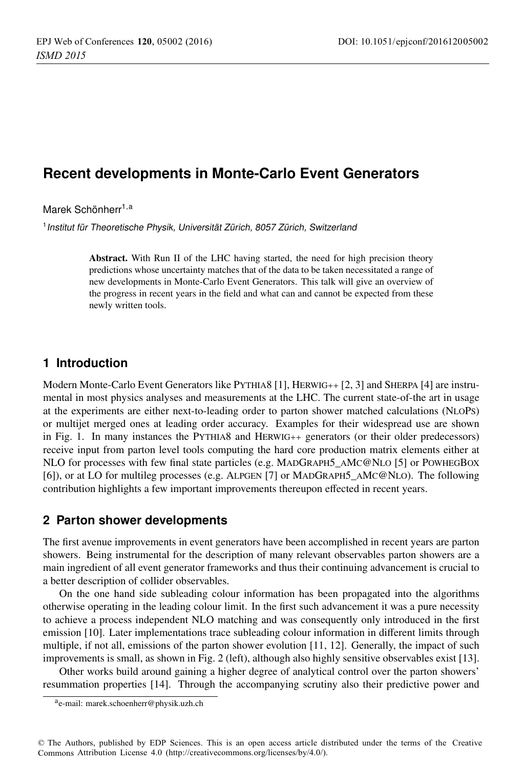# **Recent developments in Monte-Carlo Event Generators**

Marek Schönherr<sup>1,a</sup>

<sup>1</sup> Institut für Theoretische Physik, Universität Zürich, 8057 Zürich, Switzerland

Abstract. With Run II of the LHC having started, the need for high precision theory predictions whose uncertainty matches that of the data to be taken necessitated a range of new developments in Monte-Carlo Event Generators. This talk will give an overview of the progress in recent years in the field and what can and cannot be expected from these newly written tools.

## **1 Introduction**

Modern Monte-Carlo Event Generators like PYTHIA8 [1], HERWIG++ [2, 3] and SHERPA [4] are instrumental in most physics analyses and measurements at the LHC. The current state-of-the art in usage at the experiments are either next-to-leading order to parton shower matched calculations (NLOPS) or multijet merged ones at leading order accuracy. Examples for their widespread use are shown in Fig. 1. In many instances the PYTHIA8 and HERWIG++ generators (or their older predecessors) receive input from parton level tools computing the hard core production matrix elements either at NLO for processes with few final state particles (e.g. MADGRAPH5\_AMC@NLO [5] or POWHEGBOX [6]), or at LO for multileg processes (e.g. ALPGEN [7] or MADGRAPH5\_AMC@NLO). The following contribution highlights a few important improvements thereupon effected in recent years.

## **2 Parton shower developments**

The first avenue improvements in event generators have been accomplished in recent years are parton showers. Being instrumental for the description of many relevant observables parton showers are a main ingredient of all event generator frameworks and thus their continuing advancement is crucial to a better description of collider observables.

On the one hand side subleading colour information has been propagated into the algorithms otherwise operating in the leading colour limit. In the first such advancement it was a pure necessity to achieve a process independent NLO matching and was consequently only introduced in the first emission [10]. Later implementations trace subleading colour information in different limits through multiple, if not all, emissions of the parton shower evolution [11, 12]. Generally, the impact of such improvements is small, as shown in Fig. 2 (left), although also highly sensitive observables exist [13].

Other works build around gaining a higher degree of analytical control over the parton showers' resummation properties [14]. Through the accompanying scrutiny also their predictive power and

ae-mail: [marek.schoenherr@physik.uzh.ch](mailto:marek.schoenherr@physik.uzh.ch)

<sup>©</sup> The Authors, published by EDP Sciences. This is an open access article distributed under the terms of the Creative Commons Attribution License 4.0 ([http://creativecommons.org/licenses/by/4.0/\).](http://creativecommons.org/licenses/by/4.0/)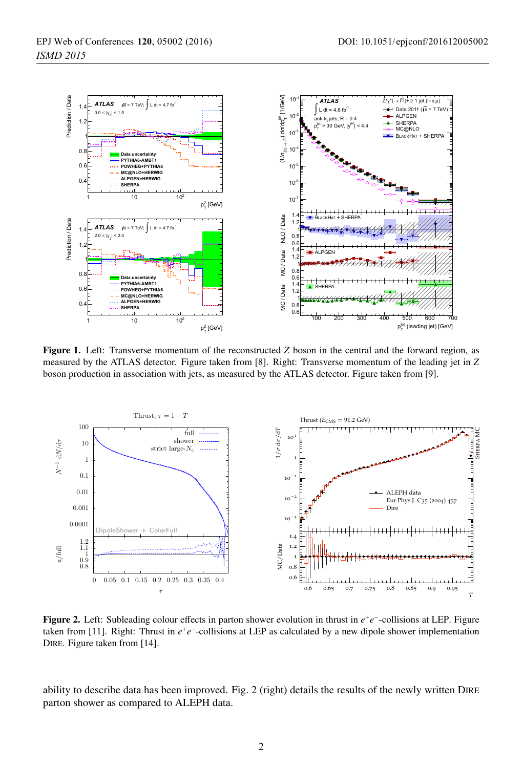

Figure 1. Left: Transverse momentum of the reconstructed *Z* boson in the central and the forward region, as measured by the ATLAS detector. Figure taken from [8]. Right: Transverse momentum of the leading jet in *Z* boson production in association with jets, as measured by the ATLAS detector. Figure taken from [9].



Figure 2. Left: Subleading colour effects in parton shower evolution in thrust in *<sup>e</sup>*<sup>+</sup>*e*−-collisions at LEP. Figure taken from [11]. Right: Thrust in *e*<sup>+</sup>*e*−-collisions at LEP as calculated by a new dipole shower implementation DIRE. Figure taken from [14].

ability to describe data has been improved. Fig. 2 (right) details the results of the newly written DIRE parton shower as compared to ALEPH data.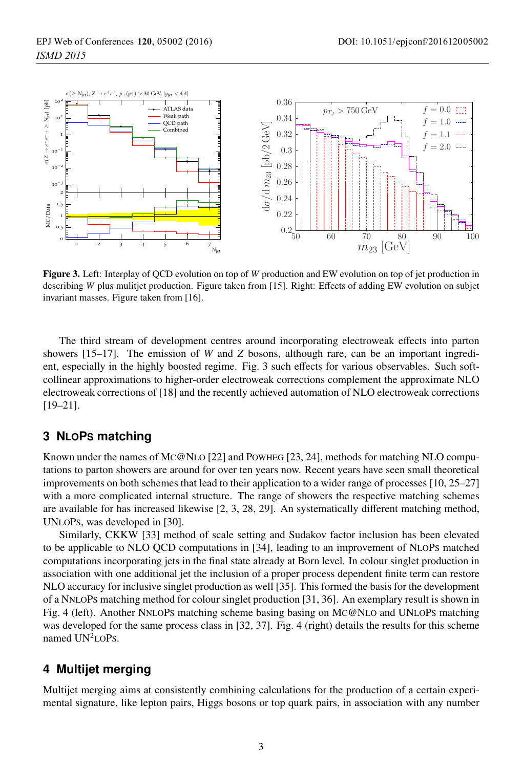

Figure 3. Left: Interplay of QCD evolution on top of *<sup>W</sup>* production and EW evolution on top of jet production in describing *W* plus mulitjet production. Figure taken from [15]. Right: Effects of adding EW evolution on subjet invariant masses. Figure taken from [16].

The third stream of development centres around incorporating electroweak effects into parton showers [15–17]. The emission of *W* and *Z* bosons, although rare, can be an important ingredient, especially in the highly boosted regime. Fig. 3 such effects for various observables. Such softcollinear approximations to higher-order electroweak corrections complement the approximate NLO electroweak corrections of [18] and the recently achieved automation of NLO electroweak corrections [19–21].

## **3 NLOPS matching**

Known under the names of MC@NLO [22] and POWHEG [23, 24], methods for matching NLO computations to parton showers are around for over ten years now. Recent years have seen small theoretical improvements on both schemes that lead to their application to a wider range of processes [10, 25–27] with a more complicated internal structure. The range of showers the respective matching schemes are available for has increased likewise [2, 3, 28, 29]. An systematically different matching method, UNLOPS, was developed in [30].

Similarly, CKKW [33] method of scale setting and Sudakov factor inclusion has been elevated to be applicable to NLO QCD computations in [34], leading to an improvement of NLOPS matched computations incorporating jets in the final state already at Born level. In colour singlet production in association with one additional jet the inclusion of a proper process dependent finite term can restore NLO accuracy for inclusive singlet production as well [35]. This formed the basis for the development of a NNLOPS matching method for colour singlet production [31, 36]. An exemplary result is shown in Fig. 4 (left). Another NNLOPS matching scheme basing basing on MC@NLO and UNLOPS matching was developed for the same process class in [32, 37]. Fig. 4 (right) details the results for this scheme named  $UN<sup>2</sup>LOPs$ .

#### **4 Multijet merging**

Multijet merging aims at consistently combining calculations for the production of a certain experimental signature, like lepton pairs, Higgs bosons or top quark pairs, in association with any number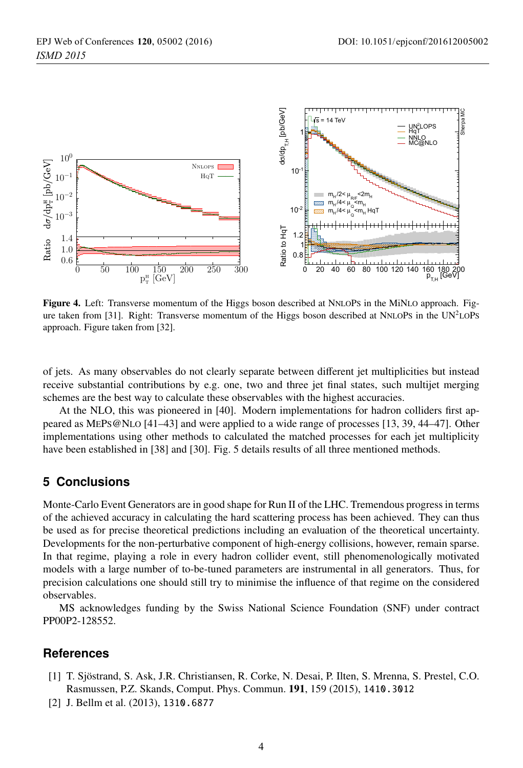

Figure 4. Left: Transverse momentum of the Higgs boson described at NNLOPS in the MiNLO approach. Figure taken from [31]. Right: Transverse momentum of the Higgs boson described at NNLOPS in the UN<sup>2</sup>LOPS approach. Figure taken from [32].

of jets. As many observables do not clearly separate between different jet multiplicities but instead receive substantial contributions by e.g. one, two and three jet final states, such multijet merging schemes are the best way to calculate these observables with the highest accuracies.

At the NLO, this was pioneered in [40]. Modern implementations for hadron colliders first appeared as MEPS@NLO [41–43] and were applied to a wide range of processes [13, 39, 44–47]. Other implementations using other methods to calculated the matched processes for each jet multiplicity have been established in [38] and [30]. Fig. 5 details results of all three mentioned methods.

# **5 Conclusions**

Monte-Carlo Event Generators are in good shape for Run II of the LHC. Tremendous progress in terms of the achieved accuracy in calculating the hard scattering process has been achieved. They can thus be used as for precise theoretical predictions including an evaluation of the theoretical uncertainty. Developments for the non-perturbative component of high-energy collisions, however, remain sparse. In that regime, playing a role in every hadron collider event, still phenomenologically motivated models with a large number of to-be-tuned parameters are instrumental in all generators. Thus, for precision calculations one should still try to minimise the influence of that regime on the considered observables.

MS acknowledges funding by the Swiss National Science Foundation (SNF) under contract PP00P2-128552.

#### **References**

- [1] T. Sjöstrand, S. Ask, J.R. Christiansen, R. Corke, N. Desai, P. Ilten, S. Mrenna, S. Prestel, C.O. Rasmussen, P.Z. Skands, Comput. Phys. Commun. 191, 159 (2015), 1410.3012
- [2] J. Bellm et al. (2013), 1310.6877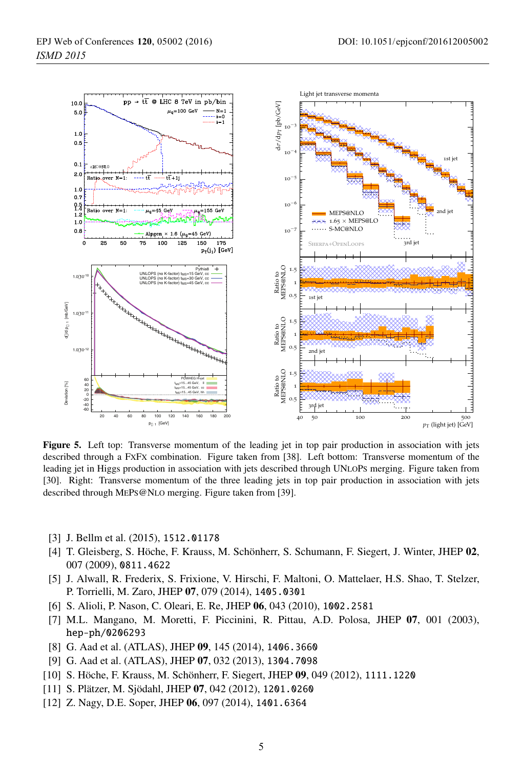

Figure 5. Left top: Transverse momentum of the leading jet in top pair production in association with jets described through a FXFX combination. Figure taken from [38]. Left bottom: Transverse momentum of the leading jet in Higgs production in association with jets described through UNLOPS merging. Figure taken from [30]. Right: Transverse momentum of the three leading jets in top pair production in association with jets described through MEPS@NLO merging. Figure taken from [39].

- [3] J. Bellm et al. (2015), 1512.01178
- [4] T. Gleisberg, S. Höche, F. Krauss, M. Schönherr, S. Schumann, F. Siegert, J. Winter, JHEP 02, 007 (2009), 0811.4622
- [5] J. Alwall, R. Frederix, S. Frixione, V. Hirschi, F. Maltoni, O. Mattelaer, H.S. Shao, T. Stelzer, P. Torrielli, M. Zaro, JHEP 07, 079 (2014), 1405.0301
- [6] S. Alioli, P. Nason, C. Oleari, E. Re, JHEP 06, 043 (2010), 1002.2581
- [7] M.L. Mangano, M. Moretti, F. Piccinini, R. Pittau, A.D. Polosa, JHEP 07, 001 (2003), hep-ph/0206293
- [8] G. Aad et al. (ATLAS), JHEP 09, 145 (2014), 1406.3660
- [9] G. Aad et al. (ATLAS), JHEP 07, 032 (2013), 1304.7098
- [10] S. Höche, F. Krauss, M. Schönherr, F. Siegert, JHEP 09, 049 (2012), 1111.1220
- [11] S. Plätzer, M. Sjödahl, JHEP 07, 042 (2012), 1201.0260
- [12] Z. Nagy, D.E. Soper, JHEP 06, 097 (2014), 1401.6364